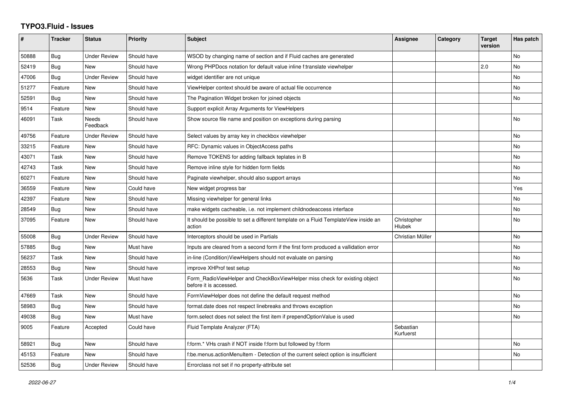## **TYPO3.Fluid - Issues**

| #     | <b>Tracker</b> | <b>Status</b>            | <b>Priority</b> | <b>Subject</b>                                                                                       | Assignee               | Category | <b>Target</b><br>version | Has patch      |
|-------|----------------|--------------------------|-----------------|------------------------------------------------------------------------------------------------------|------------------------|----------|--------------------------|----------------|
| 50888 | Bug            | <b>Under Review</b>      | Should have     | WSOD by changing name of section and if Fluid caches are generated                                   |                        |          |                          | No             |
| 52419 | Bug            | <b>New</b>               | Should have     | Wrong PHPDocs notation for default value inline f:translate viewhelper                               |                        |          | 2.0                      | No             |
| 47006 | Bug            | <b>Under Review</b>      | Should have     | widget identifier are not unique                                                                     |                        |          |                          | No             |
| 51277 | Feature        | New                      | Should have     | ViewHelper context should be aware of actual file occurrence                                         |                        |          |                          | No             |
| 52591 | Bug            | <b>New</b>               | Should have     | The Pagination Widget broken for joined objects                                                      |                        |          |                          | No             |
| 9514  | Feature        | <b>New</b>               | Should have     | Support explicit Array Arguments for ViewHelpers                                                     |                        |          |                          |                |
| 46091 | Task           | <b>Needs</b><br>Feedback | Should have     | Show source file name and position on exceptions during parsing                                      |                        |          |                          | No             |
| 49756 | Feature        | <b>Under Review</b>      | Should have     | Select values by array key in checkbox viewhelper                                                    |                        |          |                          | No             |
| 33215 | Feature        | <b>New</b>               | Should have     | RFC: Dynamic values in ObjectAccess paths                                                            |                        |          |                          | <b>No</b>      |
| 43071 | Task           | <b>New</b>               | Should have     | Remove TOKENS for adding fallback teplates in B                                                      |                        |          |                          | No             |
| 42743 | Task           | New                      | Should have     | Remove inline style for hidden form fields                                                           |                        |          |                          | No             |
| 60271 | Feature        | New                      | Should have     | Paginate viewhelper, should also support arrays                                                      |                        |          |                          | No.            |
| 36559 | Feature        | <b>New</b>               | Could have      | New widget progress bar                                                                              |                        |          |                          | Yes            |
| 42397 | Feature        | <b>New</b>               | Should have     | Missing viewhelper for general links                                                                 |                        |          |                          | N <sub>o</sub> |
| 28549 | Bug            | <b>New</b>               | Should have     | make widgets cacheable, i.e. not implement childnodeaccess interface                                 |                        |          |                          | No             |
| 37095 | Feature        | New                      | Should have     | It should be possible to set a different template on a Fluid TemplateView inside an<br>action        | Christopher<br>Hlubek  |          |                          | No.            |
| 55008 | Bug            | <b>Under Review</b>      | Should have     | Interceptors should be used in Partials                                                              | Christian Müller       |          |                          | No             |
| 57885 | Bug            | <b>New</b>               | Must have       | Inputs are cleared from a second form if the first form produced a vallidation error                 |                        |          |                          | No             |
| 56237 | Task           | New                      | Should have     | in-line (Condition) View Helpers should not evaluate on parsing                                      |                        |          |                          | No             |
| 28553 | Bug            | <b>New</b>               | Should have     | improve XHProf test setup                                                                            |                        |          |                          | No             |
| 5636  | Task           | <b>Under Review</b>      | Must have       | Form_RadioViewHelper and CheckBoxViewHelper miss check for existing object<br>before it is accessed. |                        |          |                          | No             |
| 47669 | Task           | <b>New</b>               | Should have     | FormViewHelper does not define the default request method                                            |                        |          |                          | No             |
| 58983 | Bug            | <b>New</b>               | Should have     | format.date does not respect linebreaks and throws exception                                         |                        |          |                          | No             |
| 49038 | Bug            | <b>New</b>               | Must have       | form select does not select the first item if prependOptionValue is used                             |                        |          |                          | No             |
| 9005  | Feature        | Accepted                 | Could have      | Fluid Template Analyzer (FTA)                                                                        | Sebastian<br>Kurfuerst |          |                          |                |
| 58921 | <b>Bug</b>     | <b>New</b>               | Should have     | f:form.* VHs crash if NOT inside f:form but followed by f:form                                       |                        |          |                          | <b>No</b>      |
| 45153 | Feature        | <b>New</b>               | Should have     | f:be.menus.actionMenuItem - Detection of the current select option is insufficient                   |                        |          |                          | No             |
| 52536 | Bug            | <b>Under Review</b>      | Should have     | Errorclass not set if no property-attribute set                                                      |                        |          |                          |                |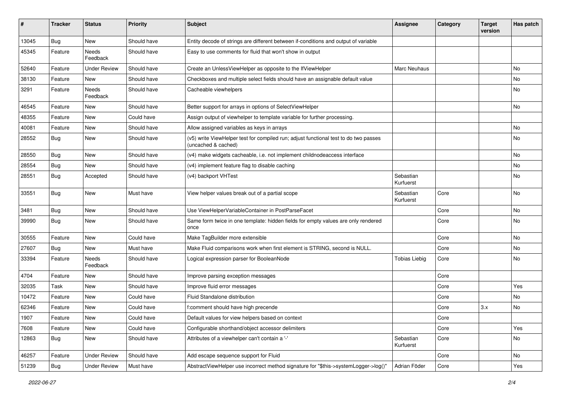| #     | <b>Tracker</b> | <b>Status</b>       | <b>Priority</b> | <b>Subject</b>                                                                                              | <b>Assignee</b>        | Category | <b>Target</b><br>version | Has patch |
|-------|----------------|---------------------|-----------------|-------------------------------------------------------------------------------------------------------------|------------------------|----------|--------------------------|-----------|
| 13045 | Bug            | New                 | Should have     | Entity decode of strings are different between if-conditions and output of variable                         |                        |          |                          |           |
| 45345 | Feature        | Needs<br>Feedback   | Should have     | Easy to use comments for fluid that won't show in output                                                    |                        |          |                          |           |
| 52640 | Feature        | <b>Under Review</b> | Should have     | Create an UnlessViewHelper as opposite to the IfViewHelper                                                  | Marc Neuhaus           |          |                          | No        |
| 38130 | Feature        | New                 | Should have     | Checkboxes and multiple select fields should have an assignable default value                               |                        |          |                          | No        |
| 3291  | Feature        | Needs<br>Feedback   | Should have     | Cacheable viewhelpers                                                                                       |                        |          |                          | No        |
| 46545 | Feature        | New                 | Should have     | Better support for arrays in options of SelectViewHelper                                                    |                        |          |                          | No        |
| 48355 | Feature        | <b>New</b>          | Could have      | Assign output of viewhelper to template variable for further processing.                                    |                        |          |                          |           |
| 40081 | Feature        | New                 | Should have     | Allow assigned variables as keys in arrays                                                                  |                        |          |                          | No        |
| 28552 | <b>Bug</b>     | New                 | Should have     | (v5) write ViewHelper test for compiled run; adjust functional test to do two passes<br>(uncached & cached) |                        |          |                          | No        |
| 28550 | Bug            | <b>New</b>          | Should have     | (v4) make widgets cacheable, i.e. not implement childnodeaccess interface                                   |                        |          |                          | No        |
| 28554 | Bug            | <b>New</b>          | Should have     | (v4) implement feature flag to disable caching                                                              |                        |          |                          | <b>No</b> |
| 28551 | Bug            | Accepted            | Should have     | (v4) backport VHTest                                                                                        | Sebastian<br>Kurfuerst |          |                          | No        |
| 33551 | Bug            | <b>New</b>          | Must have       | View helper values break out of a partial scope                                                             | Sebastian<br>Kurfuerst | Core     |                          | No        |
| 3481  | Bug            | <b>New</b>          | Should have     | Use ViewHelperVariableContainer in PostParseFacet                                                           |                        | Core     |                          | No        |
| 39990 | Bug            | <b>New</b>          | Should have     | Same form twice in one template: hidden fields for empty values are only rendered<br>once                   |                        | Core     |                          | No        |
| 30555 | Feature        | New                 | Could have      | Make TagBuilder more extensible                                                                             |                        | Core     |                          | <b>No</b> |
| 27607 | Bug            | New                 | Must have       | Make Fluid comparisons work when first element is STRING, second is NULL.                                   |                        | Core     |                          | No        |
| 33394 | Feature        | Needs<br>Feedback   | Should have     | Logical expression parser for BooleanNode                                                                   | <b>Tobias Liebig</b>   | Core     |                          | No        |
| 4704  | Feature        | New                 | Should have     | Improve parsing exception messages                                                                          |                        | Core     |                          |           |
| 32035 | Task           | New                 | Should have     | Improve fluid error messages                                                                                |                        | Core     |                          | Yes       |
| 10472 | Feature        | New                 | Could have      | Fluid Standalone distribution                                                                               |                        | Core     |                          | No        |
| 62346 | Feature        | New                 | Could have      | f:comment should have high precende                                                                         |                        | Core     | 3.x                      | No        |
| 1907  | Feature        | New                 | Could have      | Default values for view helpers based on context                                                            |                        | Core     |                          |           |
| 7608  | Feature        | New                 | Could have      | Configurable shorthand/object accessor delimiters                                                           |                        | Core     |                          | Yes       |
| 12863 | Bug            | New                 | Should have     | Attributes of a viewhelper can't contain a '-'                                                              | Sebastian<br>Kurfuerst | Core     |                          | No        |
| 46257 | Feature        | <b>Under Review</b> | Should have     | Add escape sequence support for Fluid                                                                       |                        | Core     |                          | No        |
| 51239 | <b>Bug</b>     | <b>Under Review</b> | Must have       | AbstractViewHelper use incorrect method signature for "\$this->systemLogger->log()"                         | Adrian Föder           | Core     |                          | Yes       |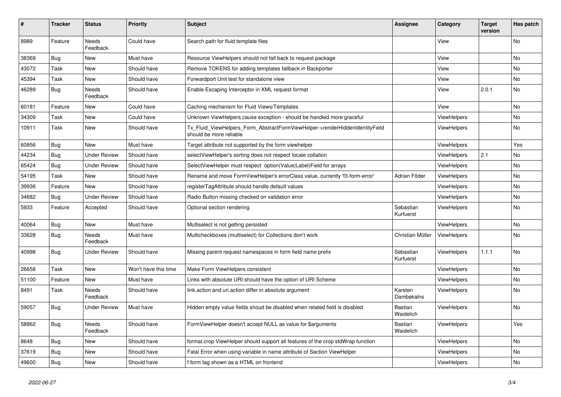| #     | <b>Tracker</b> | <b>Status</b>            | <b>Priority</b>      | <b>Subject</b>                                                                                         | Assignee               | Category           | <b>Target</b><br>version | Has patch |
|-------|----------------|--------------------------|----------------------|--------------------------------------------------------------------------------------------------------|------------------------|--------------------|--------------------------|-----------|
| 8989  | Feature        | <b>Needs</b><br>Feedback | Could have           | Search path for fluid template files                                                                   |                        | View               |                          | <b>No</b> |
| 38369 | <b>Bug</b>     | New                      | Must have            | Resource ViewHelpers should not fall back to request package                                           |                        | View               |                          | No        |
| 43072 | Task           | New                      | Should have          | Remove TOKENS for adding templates fallback in Backporter                                              |                        | View               |                          | No        |
| 45394 | Task           | <b>New</b>               | Should have          | Forwardport Unit test for standalone view                                                              |                        | View               |                          | No.       |
| 46289 | <b>Bug</b>     | <b>Needs</b><br>Feedback | Should have          | Enable Escaping Interceptor in XML request format                                                      |                        | View               | 2.0.1                    | No        |
| 60181 | Feature        | New                      | Could have           | Caching mechanism for Fluid Views/Templates                                                            |                        | View               |                          | No.       |
| 34309 | Task           | New                      | Could have           | Unknown ViewHelpers cause exception - should be handled more graceful                                  |                        | <b>ViewHelpers</b> |                          | No        |
| 10911 | Task           | New                      | Should have          | Tx_Fluid_ViewHelpers_Form_AbstractFormViewHelper->renderHiddenIdentityField<br>should be more reliable |                        | ViewHelpers        |                          | No        |
| 60856 | <b>Bug</b>     | <b>New</b>               | Must have            | Target attribute not supported by the form viewhelper                                                  |                        | <b>ViewHelpers</b> |                          | Yes       |
| 44234 | <b>Bug</b>     | <b>Under Review</b>      | Should have          | selectViewHelper's sorting does not respect locale collation                                           |                        | ViewHelpers        | 2.1                      | No        |
| 65424 | Bug            | <b>Under Review</b>      | Should have          | SelectViewHelper must respect option(Value Label)Field for arrays                                      |                        | ViewHelpers        |                          | No        |
| 54195 | Task           | <b>New</b>               | Should have          | Rename and move FormViewHelper's errorClass value, currently 'f3-form-error'                           | Adrian Föder           | <b>ViewHelpers</b> |                          | No        |
| 39936 | Feature        | <b>New</b>               | Should have          | registerTagAttribute should handle default values                                                      |                        | <b>ViewHelpers</b> |                          | No.       |
| 34682 | <b>Bug</b>     | <b>Under Review</b>      | Should have          | Radio Button missing checked on validation error                                                       |                        | <b>ViewHelpers</b> |                          | No.       |
| 5933  | Feature        | Accepted                 | Should have          | Optional section rendering                                                                             | Sebastian<br>Kurfuerst | <b>ViewHelpers</b> |                          | <b>No</b> |
| 40064 | Bug            | New                      | Must have            | Multiselect is not getting persisted                                                                   |                        | <b>ViewHelpers</b> |                          | No        |
| 33628 | <b>Bug</b>     | Needs<br>Feedback        | Must have            | Multicheckboxes (multiselect) for Collections don't work                                               | Christian Müller       | ViewHelpers        |                          | No        |
| 40998 | <b>Bug</b>     | Under Review             | Should have          | Missing parent request namespaces in form field name prefix                                            | Sebastian<br>Kurfuerst | <b>ViewHelpers</b> | 1.1.1                    | No.       |
| 26658 | Task           | <b>New</b>               | Won't have this time | Make Form ViewHelpers consistent                                                                       |                        | <b>ViewHelpers</b> |                          | No        |
| 51100 | Feature        | New                      | Must have            | Links with absolute URI should have the option of URI Scheme                                           |                        | <b>ViewHelpers</b> |                          | No.       |
| 8491  | Task           | Needs<br>Feedback        | Should have          | link.action and uri.action differ in absolute argument                                                 | Karsten<br>Dambekalns  | ViewHelpers        |                          | <b>No</b> |
| 59057 | <b>Bug</b>     | <b>Under Review</b>      | Must have            | Hidden empty value fields shoud be disabled when related field is disabled                             | Bastian<br>Waidelich   | <b>ViewHelpers</b> |                          | No        |
| 58862 | <b>Bug</b>     | <b>Needs</b><br>Feedback | Should have          | FormViewHelper doesn't accept NULL as value for \$arguments                                            | Bastian<br>Waidelich   | <b>ViewHelpers</b> |                          | Yes       |
| 8648  | <b>Bug</b>     | New                      | Should have          | format.crop ViewHelper should support all features of the crop stdWrap function                        |                        | <b>ViewHelpers</b> |                          | <b>No</b> |
| 37619 | Bug            | <b>New</b>               | Should have          | Fatal Error when using variable in name attribute of Section ViewHelper                                |                        | ViewHelpers        |                          | <b>No</b> |
| 49600 | <b>Bug</b>     | <b>New</b>               | Should have          | f:form tag shown as a HTML on frontend                                                                 |                        | ViewHelpers        |                          | No        |